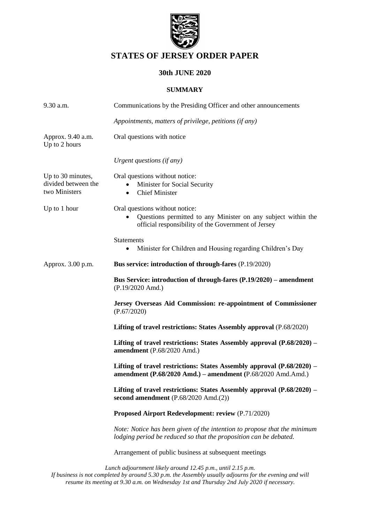

# **STATES OF JERSEY ORDER PAPER**

## **30th JUNE 2020**

### **SUMMARY**

| 9.30 a.m.                                                 | Communications by the Presiding Officer and other announcements                                                                                        |
|-----------------------------------------------------------|--------------------------------------------------------------------------------------------------------------------------------------------------------|
|                                                           | Appointments, matters of privilege, petitions (if any)                                                                                                 |
| Approx. 9.40 a.m.<br>Up to 2 hours                        | Oral questions with notice                                                                                                                             |
|                                                           | Urgent questions (if any)                                                                                                                              |
| Up to 30 minutes,<br>divided between the<br>two Ministers | Oral questions without notice:<br>Minister for Social Security<br><b>Chief Minister</b><br>$\bullet$                                                   |
| Up to 1 hour                                              | Oral questions without notice:<br>Questions permitted to any Minister on any subject within the<br>official responsibility of the Government of Jersey |
|                                                           | <b>Statements</b><br>Minister for Children and Housing regarding Children's Day<br>٠                                                                   |
| Approx. 3.00 p.m.                                         | Bus service: introduction of through-fares (P.19/2020)                                                                                                 |
|                                                           | Bus Service: introduction of through-fares (P.19/2020) – amendment<br>(P.19/2020 Amd.)                                                                 |
|                                                           | Jersey Overseas Aid Commission: re-appointment of Commissioner<br>(P.67/2020)                                                                          |
|                                                           | Lifting of travel restrictions: States Assembly approval (P.68/2020)                                                                                   |
|                                                           | Lifting of travel restrictions: States Assembly approval (P.68/2020) –<br>amendment (P.68/2020 Amd.)                                                   |
|                                                           | Lifting of travel restrictions: States Assembly approval (P.68/2020) –<br>amendment (P.68/2020 Amd.) – amendment (P.68/2020 Amd.Amd.)                  |
|                                                           | Lifting of travel restrictions: States Assembly approval (P.68/2020) –<br>second amendment (P.68/2020 Amd.(2))                                         |
|                                                           | Proposed Airport Redevelopment: review (P.71/2020)                                                                                                     |
|                                                           | Note: Notice has been given of the intention to propose that the minimum<br>lodging period be reduced so that the proposition can be debated.          |
|                                                           | Arrangement of public business at subsequent meetings                                                                                                  |
|                                                           | Lunch adjournment likely around 12.45 n m, until 2.15 n m                                                                                              |

*Lunch adjournment likely around 12.45 p.m., until 2.15 p.m. If business is not completed by around 5.30 p.m. the Assembly usually adjourns for the evening and will resume its meeting at 9.30 a.m. on Wednesday 1st and Thursday 2nd July 2020 if necessary.*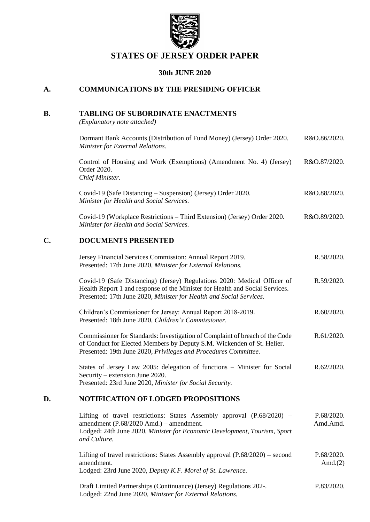

# **STATES OF JERSEY ORDER PAPER**

## **30th JUNE 2020**

## **A. COMMUNICATIONS BY THE PRESIDING OFFICER**

### **B. TABLING OF SUBORDINATE ENACTMENTS**

*(Explanatory note attached)*

[Dormant Bank Accounts \(Distribution of Fund Money\) \(Jersey\) Order 2020.](https://www.jerseylaw.je/laws/enacted/Pages/RO-086-2020.aspx)  *[Minister for External Relations.](https://www.jerseylaw.je/laws/enacted/Pages/RO-086-2020.aspx)* [R&O.86/2020.](https://www.jerseylaw.je/laws/enacted/Pages/RO-086-2020.aspx)

[Control of Housing and Work \(Exemptions\) \(Amendment No. 4\) \(Jersey\)](https://www.jerseylaw.je/laws/enacted/Pages/RO-087-2020.aspx)  [Order 2020.](https://www.jerseylaw.je/laws/enacted/Pages/RO-087-2020.aspx) *[Chief Minister.](https://www.jerseylaw.je/laws/enacted/Pages/RO-087-2020.aspx)* [R&O.87/2020.](https://www.jerseylaw.je/laws/enacted/Pages/RO-087-2020.aspx)

Covid-19 (Safe Distancing – [Suspension\) \(Jersey\) Order 2020.](https://www.jerseylaw.je/laws/enacted/Pages/RO-088-2020.aspx) *[Minister for Health and Social Services.](https://www.jerseylaw.je/laws/enacted/Pages/RO-088-2020.aspx)* [R&O.88/2020.](https://www.jerseylaw.je/laws/enacted/Pages/RO-088-2020.aspx)

Covid-19 (Workplace Restrictions – [Third Extension\) \(Jersey\) Order 2020.](https://www.jerseylaw.je/laws/enacted/Pages/RO-089-2020.aspx) *[Minister for Health and Social Services.](https://www.jerseylaw.je/laws/enacted/Pages/RO-089-2020.aspx)* [R&O.89/2020.](https://www.jerseylaw.je/laws/enacted/Pages/RO-089-2020.aspx)

### **C. DOCUMENTS PRESENTED**

| Jersey Financial Services Commission: Annual Report 2019.<br>Presented: 17th June 2020, Minister for External Relations.                                                                                                        | R.58/2020. |
|---------------------------------------------------------------------------------------------------------------------------------------------------------------------------------------------------------------------------------|------------|
| Covid-19 (Safe Distancing) (Jersey) Regulations 2020: Medical Officer of<br>Health Report 1 and response of the Minister for Health and Social Services.<br>Presented: 17th June 2020, Minister for Health and Social Services. | R.59/2020. |
| Children's Commissioner for Jersey: Annual Report 2018-2019.<br>Presented: 18th June 2020, Children's Commissioner.                                                                                                             | R.60/2020. |
| Commissioner for Standards: Investigation of Complaint of breach of the Code<br>of Conduct for Elected Members by Deputy S.M. Wickenden of St. Helier.<br>Presented: 19th June 2020, Privileges and Procedures Committee.       | R.61/2020. |
| States of Jersey Law 2005: delegation of functions - Minister for Social<br>Security – extension June 2020.<br>Presented: 23rd June 2020, Minister for Social Security.                                                         | R.62/2020. |

### **D. NOTIFICATION OF LODGED PROPOSITIONS**

| Lifting of travel restrictions: States Assembly approval $(P.68/2020)$ –<br>amendment $(P.68/2020 \text{ Amd.})$ – amendment.<br>Lodged: 24th June 2020, Minister for Economic Development, Tourism, Sport<br>and Culture. | P.68/2020.<br>Amd.Amd.   |
|----------------------------------------------------------------------------------------------------------------------------------------------------------------------------------------------------------------------------|--------------------------|
| Lifting of travel restrictions: States Assembly approval $(P.68/2020)$ – second<br>amendment.<br>Lodged: 23rd June 2020, Deputy K.F. Morel of St. Lawrence.                                                                | P.68/2020.<br>Amd. $(2)$ |
| Draft Limited Partnerships (Continuance) (Jersey) Regulations 202-.<br>Lodged: 22nd June 2020, Minister for External Relations.                                                                                            | P.83/2020.               |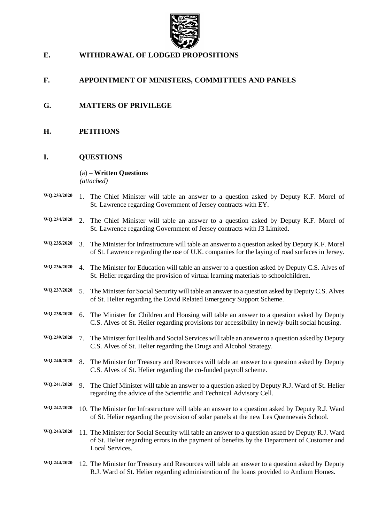

## **E. WITHDRAWAL OF LODGED PROPOSITIONS**

## **F. APPOINTMENT OF MINISTERS, COMMITTEES AND PANELS**

- **G. MATTERS OF PRIVILEGE**
- **H. PETITIONS**

#### **I. QUESTIONS**

#### (a) – **Written Questions**

*(attached)*

|  | $WQ.233/2020$ 1. The Chief Minister will table an answer to a question asked by Deputy K.F. Morel of |
|--|------------------------------------------------------------------------------------------------------|
|  | St. Lawrence regarding Government of Jersey contracts with EY.                                       |
|  |                                                                                                      |

- **WQ.234/2020** 2. The Chief Minister will table an answer to a question asked by Deputy K.F. Morel of St. Lawrence regarding Government of Jersey contracts with J3 Limited.
- **WQ.235/2020** 3. The Minister for Infrastructure will table an answer to a question asked by Deputy K.F. Morel of St. Lawrence regarding the use of U.K. companies for the laying of road surfaces in Jersey.
- **WQ.236/2020** 4. The Minister for Education will table an answer to a question asked by Deputy C.S. Alves of St. Helier regarding the provision of virtual learning materials to schoolchildren.
- **WQ.237/2020** 5. The Minister for Social Security will table an answer to a question asked by Deputy C.S. Alves of St. Helier regarding the Covid Related Emergency Support Scheme.
- **WQ.238/2020** 6. The Minister for Children and Housing will table an answer to a question asked by Deputy C.S. Alves of St. Helier regarding provisions for accessibility in newly-built social housing.
- **WQ.239/2020** 7. The Minister for Health and Social Services will table an answer to a question asked by Deputy C.S. Alves of St. Helier regarding the Drugs and Alcohol Strategy.
- **WQ.240/2020** 8. The Minister for Treasury and Resources will table an answer to a question asked by Deputy C.S. Alves of St. Helier regarding the co-funded payroll scheme.
- **WQ.241/2020** 9. The Chief Minister will table an answer to a question asked by Deputy R.J. Ward of St. Helier regarding the advice of the Scientific and Technical Advisory Cell.
- **WQ.242/2020** 10. The Minister for Infrastructure will table an answer to a question asked by Deputy R.J. Ward of St. Helier regarding the provision of solar panels at the new Les Quennevais School.
- **WQ.243/2020** 11. The Minister for Social Security will table an answer to a question asked by Deputy R.J. Ward of St. Helier regarding errors in the payment of benefits by the Department of Customer and Local Services.
- **WQ.244/2020** 12. The Minister for Treasury and Resources will table an answer to a question asked by Deputy R.J. Ward of St. Helier regarding administration of the loans provided to Andium Homes.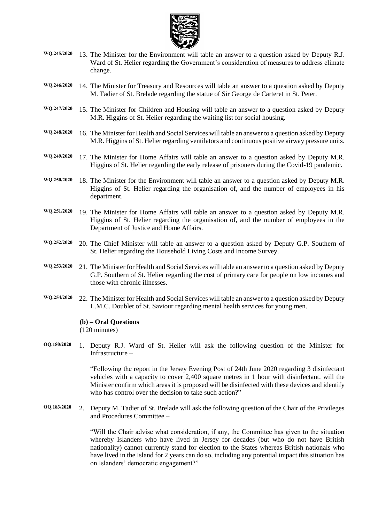

- **WQ.245/2020** 13. The Minister for the Environment will table an answer to a question asked by Deputy R.J. Ward of St. Helier regarding the Government's consideration of measures to address climate change.
- **WQ.246/2020** 14. The Minister for Treasury and Resources will table an answer to a question asked by Deputy M. Tadier of St. Brelade regarding the statue of Sir George de Carteret in St. Peter.
- **WQ.247/2020** 15. The Minister for Children and Housing will table an answer to a question asked by Deputy M.R. Higgins of St. Helier regarding the waiting list for social housing.
- **WQ.248/2020** 16. The Minister for Health and Social Services will table an answer to a question asked by Deputy M.R. Higgins of St. Helier regarding ventilators and continuous positive airway pressure units.
- **WQ.249/2020** 17. The Minister for Home Affairs will table an answer to a question asked by Deputy M.R. Higgins of St. Helier regarding the early release of prisoners during the Covid-19 pandemic.
- **WQ.250/2020** 18. The Minister for the Environment will table an answer to a question asked by Deputy M.R. Higgins of St. Helier regarding the organisation of, and the number of employees in his department.
- **WQ.251/2020** 19. The Minister for Home Affairs will table an answer to a question asked by Deputy M.R. Higgins of St. Helier regarding the organisation of, and the number of employees in the Department of Justice and Home Affairs.
- **WQ.252/2020** 20. The Chief Minister will table an answer to a question asked by Deputy G.P. Southern of St. Helier regarding the Household Living Costs and Income Survey.
- **WQ.253/2020** 21. The Minister for Health and Social Services will table an answer to a question asked by Deputy G.P. Southern of St. Helier regarding the cost of primary care for people on low incomes and those with chronic illnesses.
- **WQ.254/2020** 22. The Minister for Health and Social Services will table an answer to a question asked by Deputy L.M.C. Doublet of St. Saviour regarding mental health services for young men.

#### **(b) – Oral Questions**

(120 minutes)

**OQ.180/2020** 1. Deputy R.J. Ward of St. Helier will ask the following question of the Minister for Infrastructure –

> "Following the report in the Jersey Evening Post of 24th June 2020 regarding 3 disinfectant vehicles with a capacity to cover 2,400 square metres in 1 hour with disinfectant, will the Minister confirm which areas it is proposed will be disinfected with these devices and identify who has control over the decision to take such action?"

**OQ.183/2020** 2. Deputy M. Tadier of St. Brelade will ask the following question of the Chair of the Privileges and Procedures Committee –

> "Will the Chair advise what consideration, if any, the Committee has given to the situation whereby Islanders who have lived in Jersey for decades (but who do not have British nationality) cannot currently stand for election to the States whereas British nationals who have lived in the Island for 2 years can do so, including any potential impact this situation has on Islanders' democratic engagement?"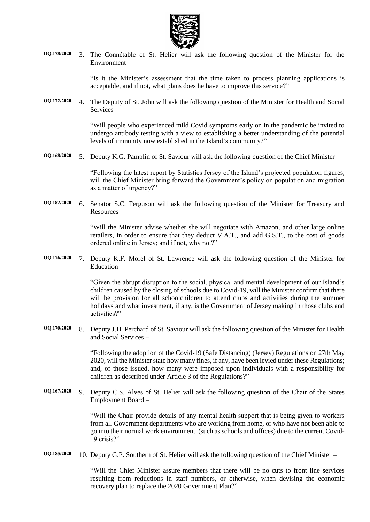

**OQ.178/2020** 3. The Connétable of St. Helier will ask the following question of the Minister for the Environment –

> "Is it the Minister's assessment that the time taken to process planning applications is acceptable, and if not, what plans does he have to improve this service?"

**OQ.172/2020** 4. The Deputy of St. John will ask the following question of the Minister for Health and Social Services –

> "Will people who experienced mild Covid symptoms early on in the pandemic be invited to undergo antibody testing with a view to establishing a better understanding of the potential levels of immunity now established in the Island's community?"

**OQ.168/2020** 5. Deputy K.G. Pamplin of St. Saviour will ask the following question of the Chief Minister –

"Following the latest report by Statistics Jersey of the Island's projected population figures, will the Chief Minister bring forward the Government's policy on population and migration as a matter of urgency?"

**OQ.182/2020** 6. Senator S.C. Ferguson will ask the following question of the Minister for Treasury and Resources –

> "Will the Minister advise whether she will negotiate with Amazon, and other large online retailers, in order to ensure that they deduct V.A.T., and add G.S.T., to the cost of goods ordered online in Jersey; and if not, why not?"

**OQ.176/2020** 7. Deputy K.F. Morel of St. Lawrence will ask the following question of the Minister for Education –

> "Given the abrupt disruption to the social, physical and mental development of our Island's children caused by the closing of schools due to Covid-19, will the Minister confirm that there will be provision for all schoolchildren to attend clubs and activities during the summer holidays and what investment, if any, is the Government of Jersey making in those clubs and activities?"

**OQ.170/2020** 8. Deputy J.H. Perchard of St. Saviour will ask the following question of the Minister for Health and Social Services –

> "Following the adoption of the Covid-19 (Safe Distancing) (Jersey) Regulations on 27th May 2020, will the Minister state how many fines, if any, have been levied under these Regulations; and, of those issued, how many were imposed upon individuals with a responsibility for children as described under Article 3 of the Regulations?"

**OQ.167/2020** 9. Deputy C.S. Alves of St. Helier will ask the following question of the Chair of the States Employment Board –

> "Will the Chair provide details of any mental health support that is being given to workers from all Government departments who are working from home, or who have not been able to go into their normal work environment, (such as schools and offices) due to the current Covid-19 crisis?"

**OQ.185/2020** 10. Deputy G.P. Southern of St. Helier will ask the following question of the Chief Minister –

"Will the Chief Minister assure members that there will be no cuts to front line services resulting from reductions in staff numbers, or otherwise, when devising the economic recovery plan to replace the 2020 Government Plan?"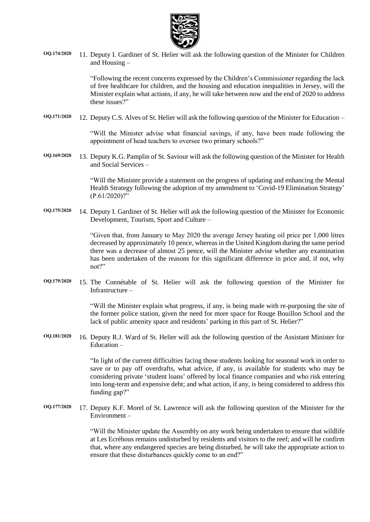

**OQ.174/2020** 11. Deputy I. Gardiner of St. Helier will ask the following question of the Minister for Children and Housing –

> "Following the recent concerns expressed by the Children's Commissioner regarding the lack of free healthcare for children, and the housing and education inequalities in Jersey, will the Minister explain what actions, if any, he will take between now and the end of 2020 to address these issues?"

**OQ.171/2020** 12. Deputy C.S. Alves of St. Helier will ask the following question of the Minister for Education –

"Will the Minister advise what financial savings, if any, have been made following the appointment of head teachers to oversee two primary schools?"

**OQ.169/2020** 13. Deputy K.G. Pamplin of St. Saviour will ask the following question of the Minister for Health and Social Services –

> "Will the Minister provide a statement on the progress of updating and enhancing the Mental Health Strategy following the adoption of my amendment to 'Covid-19 Elimination Strategy'  $(P.61/2020)?''$

**OQ.175/2020** 14. Deputy I. Gardiner of St. Helier will ask the following question of the Minister for Economic Development, Tourism, Sport and Culture –

> "Given that, from January to May 2020 the average Jersey heating oil price per 1,000 litres decreased by approximately 10 pence, whereas in the United Kingdom during the same period there was a decrease of almost 25 pence, will the Minister advise whether any examination has been undertaken of the reasons for this significant difference in price and, if not, why not?"

**OQ.179/2020** 15. The Connétable of St. Helier will ask the following question of the Minister for Infrastructure –

> "Will the Minister explain what progress, if any, is being made with re-purposing the site of the former police station, given the need for more space for Rouge Bouillon School and the lack of public amenity space and residents' parking in this part of St. Helier?"

**OQ.181/2020** 16. Deputy R.J. Ward of St. Helier will ask the following question of the Assistant Minister for Education –

> "In light of the current difficulties facing those students looking for seasonal work in order to save or to pay off overdrafts, what advice, if any, is available for students who may be considering private 'student loans' offered by local finance companies and who risk entering into long-term and expensive debt; and what action, if any, is being considered to address this funding gap?"

**OQ.177/2020** 17. Deputy K.F. Morel of St. Lawrence will ask the following question of the Minister for the Environment –

> "Will the Minister update the Assembly on any work being undertaken to ensure that wildlife at Les Ecréhous remains undisturbed by residents and visitors to the reef; and will he confirm that, where any endangered species are being disturbed, he will take the appropriate action to ensure that these disturbances quickly come to an end?"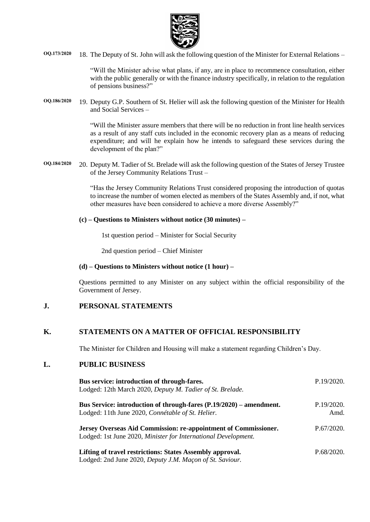

**OQ.173/2020** 18. The Deputy of St. John will ask the following question of the Minister for External Relations –

"Will the Minister advise what plans, if any, are in place to recommence consultation, either with the public generally or with the finance industry specifically, in relation to the regulation of pensions business?"

**OQ.186/2020** 19. Deputy G.P. Southern of St. Helier will ask the following question of the Minister for Health and Social Services –

> "Will the Minister assure members that there will be no reduction in front line health services as a result of any staff cuts included in the economic recovery plan as a means of reducing expenditure; and will he explain how he intends to safeguard these services during the development of the plan?"

**OQ.184/2020** 20. Deputy M. Tadier of St. Brelade will ask the following question of the States of Jersey Trustee of the Jersey Community Relations Trust –

> "Has the Jersey Community Relations Trust considered proposing the introduction of quotas to increase the number of women elected as members of the States Assembly and, if not, what other measures have been considered to achieve a more diverse Assembly?"

#### **(c) – Questions to Ministers without notice (30 minutes) –**

1st question period – Minister for Social Security

2nd question period – Chief Minister

#### **(d) – Questions to Ministers without notice (1 hour) –**

Questions permitted to any Minister on any subject within the official responsibility of the Government of Jersey.

#### **J. PERSONAL STATEMENTS**

### **K. STATEMENTS ON A MATTER OF OFFICIAL RESPONSIBILITY**

The Minister for Children and Housing will make a statement regarding Children's Day.

### **L. PUBLIC BUSINESS**

| Bus service: introduction of through-fares.<br>Lodged: 12th March 2020, Deputy M. Tadier of St. Brelade.                          | P.19/2020.         |
|-----------------------------------------------------------------------------------------------------------------------------------|--------------------|
| Bus Service: introduction of through-fares (P.19/2020) – amendment.<br>Lodged: 11th June 2020, Connétable of St. Helier.          | P.19/2020.<br>Amd. |
| Jersey Overseas Aid Commission: re-appointment of Commissioner.<br>Lodged: 1st June 2020, Minister for International Development. | P.67/2020.         |
| Lifting of travel restrictions: States Assembly approval.<br>Lodged: 2nd June 2020, Deputy J.M. Maçon of St. Saviour.             | P.68/2020.         |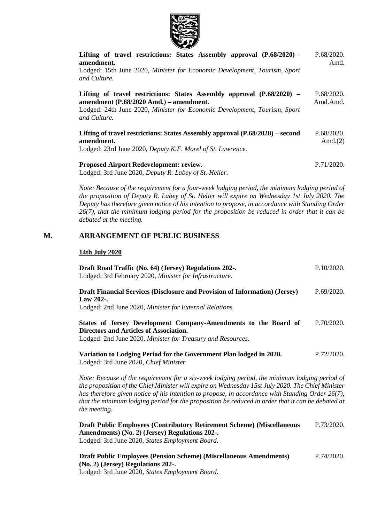

| Lifting of travel restrictions: States Assembly approval $(P.68/2020)$ –<br>amendment.                                                                                                                           | P.68/2020.<br>Amd.       |
|------------------------------------------------------------------------------------------------------------------------------------------------------------------------------------------------------------------|--------------------------|
| Lodged: 15th June 2020, Minister for Economic Development, Tourism, Sport<br>and Culture.                                                                                                                        |                          |
| Lifting of travel restrictions: States Assembly approval $(P.68/2020)$ –<br>amendment (P.68/2020 Amd.) – amendment.<br>Lodged: 24th June 2020, Minister for Economic Development, Tourism, Sport<br>and Culture. | P.68/2020.<br>Amd.Amd.   |
| Lifting of travel restrictions: States Assembly approval $(P.68/2020)$ – second<br>amendment.<br>Lodged: 23rd June 2020, Deputy K.F. Morel of St. Lawrence.                                                      | P.68/2020.<br>Amd. $(2)$ |
| <b>Proposed Airport Redevelopment: review.</b>                                                                                                                                                                   | P.71/2020.               |

Lodged: 3rd June 2020, *[Deputy R. Labey of St. Helier.](https://statesassembly.gov.je/AssemblyPropositions/2020/P.71-2020.pdf)*

*Note: Because of the requirement for a four-week lodging period, the minimum lodging period of the proposition of Deputy R. Labey of St. Helier will expire on Wednesday 1st July 2020. The Deputy has therefore given notice of his intention to propose, in accordance with Standing Order 26(7), that the minimum lodging period for the proposition be reduced in order that it can be debated at the meeting.*

## **M. ARRANGEMENT OF PUBLIC BUSINESS**

#### **14th July 2020**

| Draft Road Traffic (No. 64) (Jersey) Regulations 202-.<br>Lodged: 3rd February 2020, Minister for Infrastructure.                                                                                                                                                                                                                                                                                                           | P.10/2020. |  |
|-----------------------------------------------------------------------------------------------------------------------------------------------------------------------------------------------------------------------------------------------------------------------------------------------------------------------------------------------------------------------------------------------------------------------------|------------|--|
| <b>Draft Financial Services (Disclosure and Provision of Information) (Jersey)</b><br>Law 202-.<br>Lodged: 2nd June 2020, Minister for External Relations.                                                                                                                                                                                                                                                                  | P.69/2020. |  |
| States of Jersey Development Company-Amendments to the Board of<br><b>Directors and Articles of Association.</b><br>Lodged: 2nd June 2020, Minister for Treasury and Resources.                                                                                                                                                                                                                                             | P.70/2020. |  |
| Variation to Lodging Period for the Government Plan lodged in 2020.<br>Lodged: 3rd June 2020, Chief Minister.                                                                                                                                                                                                                                                                                                               | P.72/2020. |  |
| Note: Because of the requirement for a six-week lodging period, the minimum lodging period of<br>the proposition of the Chief Minister will expire on Wednesday 15st July 2020. The Chief Minister<br>has therefore given notice of his intention to propose, in accordance with Standing Order 26(7),<br>that the minimum lodging period for the proposition be reduced in order that it can be debated at<br>the meeting. |            |  |
| Draft Public Employees (Contributory Retirement Scheme) (Miscellaneous<br>Amendments) (No. 2) (Jersey) Regulations 202-.<br>Lodged: 3rd June 2020, States Employment Board.                                                                                                                                                                                                                                                 | P.73/2020. |  |
| <b>Draft Public Employees (Pension Scheme) (Miscellaneous Amendments)</b><br>(No. 2) (Jersey) Regulations 202-.                                                                                                                                                                                                                                                                                                             | P.74/2020. |  |

Lodged: 3rd June 2020, *[States Employment Board.](https://statesassembly.gov.je/AssemblyPropositions/2020/P.74-2020.pdf)*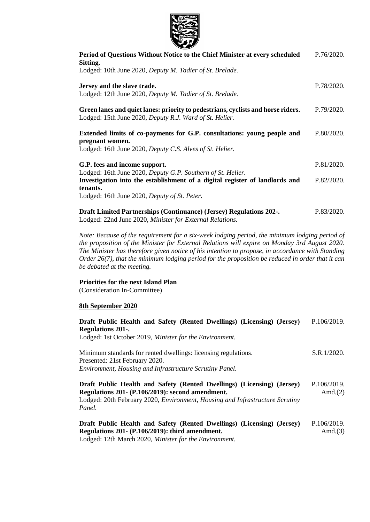

| $\sim$                                                                                                                                                 |            |
|--------------------------------------------------------------------------------------------------------------------------------------------------------|------------|
| Period of Questions Without Notice to the Chief Minister at every scheduled<br>Sitting.                                                                | P.76/2020. |
| Lodged: 10th June 2020, Deputy M. Tadier of St. Brelade.                                                                                               |            |
| Jersey and the slave trade.                                                                                                                            | P.78/2020. |
| Lodged: 12th June 2020, Deputy M. Tadier of St. Brelade.                                                                                               |            |
| Green lanes and quiet lanes: priority to pedestrians, cyclists and horse riders.<br>Lodged: 15th June 2020, Deputy R.J. Ward of St. Helier.            | P.79/2020. |
| Extended limits of co-payments for G.P. consultations: young people and                                                                                | P.80/2020. |
| pregnant women.<br>Lodged: 16th June 2020, Deputy C.S. Alves of St. Helier.                                                                            |            |
| G.P. fees and income support.                                                                                                                          | P.81/2020. |
| Lodged: 16th June 2020, Deputy G.P. Southern of St. Helier.<br>Investigation into the establishment of a digital register of landlords and<br>tenants. | P.82/2020. |
| Lodged: 16th June 2020, Deputy of St. Peter.                                                                                                           |            |
| Draft Limited Partnerships (Continuance) (Jersey) Regulations 202-.<br>Lodged: 22nd June 2020, Minister for External Relations.                        | P.83/2020. |

*Note: Because of the requirement for a six-week lodging period, the minimum lodging period of the proposition of the Minister for External Relations will expire on Monday 3rd August 2020. The Minister has therefore given notice of his intention to propose, in accordance with Standing Order 26(7), that the minimum lodging period for the proposition be reduced in order that it can be debated at the meeting.*

#### **Priorities for the next Island Plan**

(Consideration In-Committee)

#### **8th September 2020**

| Draft Public Health and Safety (Rented Dwellings) (Licensing) (Jersey)                                                                                                                                                       | P.106/2019.               |
|------------------------------------------------------------------------------------------------------------------------------------------------------------------------------------------------------------------------------|---------------------------|
| <b>Regulations 201-.</b>                                                                                                                                                                                                     |                           |
| Lodged: 1st October 2019, Minister for the Environment.                                                                                                                                                                      |                           |
| Minimum standards for rented dwellings: licensing regulations.<br>Presented: 21st February 2020.                                                                                                                             | S.R.1/2020.               |
| Environment, Housing and Infrastructure Scrutiny Panel.                                                                                                                                                                      |                           |
| Draft Public Health and Safety (Rented Dwellings) (Licensing) (Jersey)<br>Regulations 201 - (P.106/2019): second amendment.<br>Lodged: 20th February 2020, <i>Environment, Housing and Infrastructure Scrutiny</i><br>Panel. | P.106/2019.<br>Amd. $(2)$ |
| Draft Public Health and Safety (Rented Dwellings) (Licensing) (Jersey)<br>Regulations 201 - (P.106/2019): third amendment.<br>Lodged: 12th March 2020, Minister for the Environment.                                         | P.106/2019.<br>Amd. $(3)$ |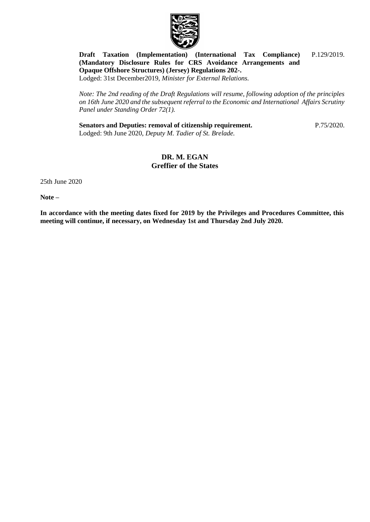

#### **[Draft Taxation \(Implementation\) \(International Tax Compliance\)](https://statesassembly.gov.je/assemblypropositions/2019/p.129-2019.pdf)  [\(Mandatory Disclosure Rules for CRS Avoidance Arrangements and](https://statesassembly.gov.je/assemblypropositions/2019/p.129-2019.pdf)  [Opaque Offshore Structures\) \(Jersey\) Regulations 202-.](https://statesassembly.gov.je/assemblypropositions/2019/p.129-2019.pdf)** [P.129/2019.](https://statesassembly.gov.je/assemblypropositions/2019/p.129-2019.pdf)

Lodged: 31st December2019, *[Minister for External Relations.](https://statesassembly.gov.je/assemblypropositions/2019/p.129-2019.pdf)*

*Note: The 2nd reading of the Draft Regulations will resume, following adoption of the principles on 16th June 2020 and the subsequent referral to the Economic and International Affairs Scrutiny Panel under Standing Order 72(1).* 

**[Senators and Deputies: removal of citizenship requirement.](https://statesassembly.gov.je/assemblypropositions/2020/p.75-2020.pdf)** Lodged: 9th June 2020, *[Deputy M. Tadier of St. Brelade.](https://statesassembly.gov.je/assemblypropositions/2020/p.75-2020.pdf)*

[P.75/2020.](https://statesassembly.gov.je/assemblypropositions/2020/p.75-2020.pdf)

## **DR. M. EGAN Greffier of the States**

25th June 2020

**Note –**

**In accordance with the meeting dates fixed for 2019 by the Privileges and Procedures Committee, this meeting will continue, if necessary, on Wednesday 1st and Thursday 2nd July 2020.**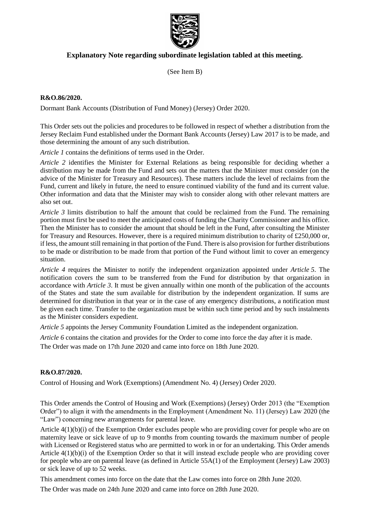

## **Explanatory Note regarding subordinate legislation tabled at this meeting.**

(See Item B)

#### **R&O.86/2020.**

Dormant Bank Accounts (Distribution of Fund Money) (Jersey) Order 2020.

This Order sets out the policies and procedures to be followed in respect of whether a distribution from the Jersey Reclaim Fund established under the Dormant Bank Accounts (Jersey) Law 2017 is to be made, and those determining the amount of any such distribution.

*Article 1* contains the definitions of terms used in the Order.

*Article 2* identifies the Minister for External Relations as being responsible for deciding whether a distribution may be made from the Fund and sets out the matters that the Minister must consider (on the advice of the Minister for Treasury and Resources). These matters include the level of reclaims from the Fund, current and likely in future, the need to ensure continued viability of the fund and its current value. Other information and data that the Minister may wish to consider along with other relevant matters are also set out.

*Article 3* limits distribution to half the amount that could be reclaimed from the Fund. The remaining portion must first be used to meet the anticipated costs of funding the Charity Commissioner and his office. Then the Minister has to consider the amount that should be left in the Fund, after consulting the Minister for Treasury and Resources. However, there is a required minimum distribution to charity of £250,000 or, if less, the amount still remaining in that portion of the Fund. There is also provision for further distributions to be made or distribution to be made from that portion of the Fund without limit to cover an emergency situation.

*Article 4* requires the Minister to notify the independent organization appointed under *Article 5*. The notification covers the sum to be transferred from the Fund for distribution by that organization in accordance with *Article 3*. It must be given annually within one month of the publication of the accounts of the States and state the sum available for distribution by the independent organization. If sums are determined for distribution in that year or in the case of any emergency distributions, a notification must be given each time. Transfer to the organization must be within such time period and by such instalments as the Minister considers expedient.

*Article 5* appoints the Jersey Community Foundation Limited as the independent organization.

*Article 6* contains the citation and provides for the Order to come into force the day after it is made. The Order was made on 17th June 2020 and came into force on 18th June 2020.

### **R&O.87/2020.**

Control of Housing and Work (Exemptions) (Amendment No. 4) (Jersey) Order 2020.

This Order amends the Control of Housing and Work (Exemptions) (Jersey) Order 2013 (the "Exemption Order") to align it with the amendments in the Employment (Amendment No. 11) (Jersey) Law 2020 (the "Law") concerning new arrangements for parental leave.

Article 4(1)(b)(i) of the Exemption Order excludes people who are providing cover for people who are on maternity leave or sick leave of up to 9 months from counting towards the maximum number of people with Licensed or Registered status who are permitted to work in or for an undertaking. This Order amends Article 4(1)(b)(i) of the Exemption Order so that it will instead exclude people who are providing cover for people who are on parental leave (as defined in Article 55A(1) of the Employment (Jersey) Law 2003) or sick leave of up to 52 weeks.

This amendment comes into force on the date that the Law comes into force on 28th June 2020.

The Order was made on 24th June 2020 and came into force on 28th June 2020.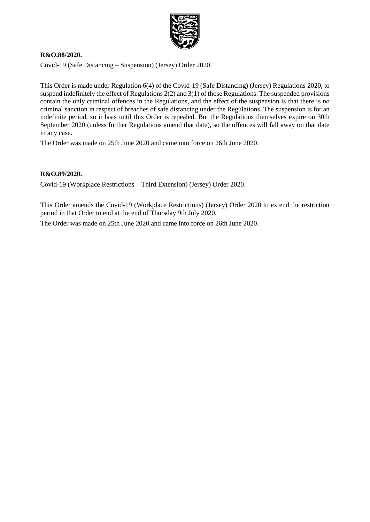

#### **R&O.88/2020.**

Covid-19 (Safe Distancing – Suspension) (Jersey) Order 2020.

This Order is made under Regulation 6(4) of the Covid-19 (Safe Distancing) (Jersey) Regulations 2020, to suspend indefinitely the effect of Regulations 2(2) and 3(1) of those Regulations. The suspended provisions contain the only criminal offences in the Regulations, and the effect of the suspension is that there is no criminal sanction in respect of breaches of safe distancing under the Regulations. The suspension is for an indefinite period, so it lasts until this Order is repealed. But the Regulations themselves expire on 30th September 2020 (unless further Regulations amend that date), so the offences will fall away on that date in any case.

The Order was made on 25th June 2020 and came into force on 26th June 2020.

#### **R&O.89/2020.**

Covid-19 (Workplace Restrictions – Third Extension) (Jersey) Order 2020.

This Order amends the Covid-19 (Workplace Restrictions) (Jersey) Order 2020 to extend the restriction period in that Order to end at the end of Thursday 9th July 2020.

The Order was made on 25th June 2020 and came into force on 26th June 2020.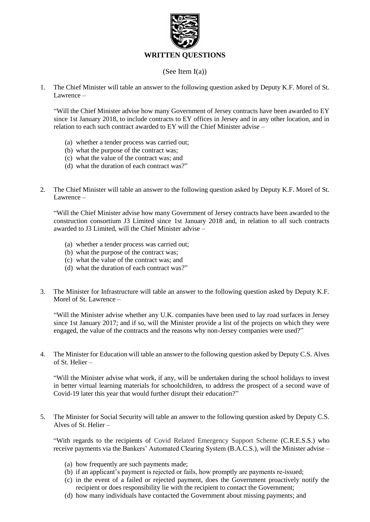

### (See Item I(a))

1. The Chief Minister will table an answer to the following question asked by Deputy K.F. Morel of St. Lawrence –

"Will the Chief Minister advise how many Government of Jersey contracts have been awarded to EY since 1st January 2018, to include contracts to EY offices in Jersey and in any other location, and in relation to each such contract awarded to EY will the Chief Minister advise –

- (a) whether a tender process was carried out;
- (b) what the purpose of the contract was;
- (c) what the value of the contract was; and
- (d) what the duration of each contract was?"
- 2. The Chief Minister will table an answer to the following question asked by Deputy K.F. Morel of St. Lawrence –

"Will the Chief Minister advise how many Government of Jersey contracts have been awarded to the construction consortium J3 Limited since 1st January 2018 and, in relation to all such contracts awarded to J3 Limited, will the Chief Minister advise –

- (a) whether a tender process was carried out;
- (b) what the purpose of the contract was;
- (c) what the value of the contract was; and
- (d) what the duration of each contract was?"
- 3. The Minister for Infrastructure will table an answer to the following question asked by Deputy K.F. Morel of St. Lawrence –

"Will the Minister advise whether any U.K. companies have been used to lay road surfaces in Jersey since 1st January 2017; and if so, will the Minister provide a list of the projects on which they were engaged, the value of the contracts and the reasons why non-Jersey companies were used?"

4. The Minister for Education will table an answer to the following question asked by Deputy C.S. Alves of St. Helier –

"Will the Minister advise what work, if any, will be undertaken during the school holidays to invest in better virtual learning materials for schoolchildren, to address the prospect of a second wave of Covid-19 later this year that would further disrupt their education?"

5. The Minister for Social Security will table an answer to the following question asked by Deputy C.S. Alves of St. Helier –

"With regards to the recipients of Covid Related Emergency Support Scheme (C.R.E.S.S.) who receive payments via the Bankers' Automated Clearing System (B.A.C.S.), will the Minister advise –

- (a) how frequently are such payments made;
- (b) if an applicant's payment is rejected or fails, how promptly are payments re-issued;
- (c) in the event of a failed or rejected payment, does the Government proactively notify the recipient or does responsibility lie with the recipient to contact the Government;
- (d) how many individuals have contacted the Government about missing payments; and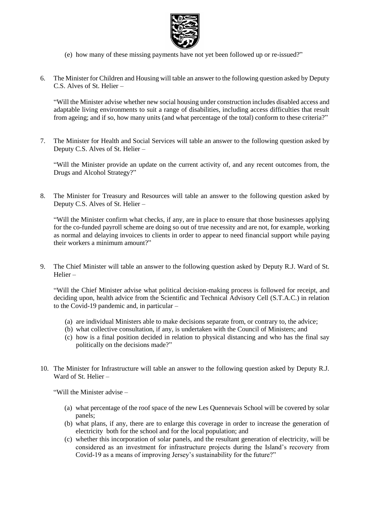

- (e) how many of these missing payments have not yet been followed up or re-issued?"
- 6. The Minister for Children and Housing will table an answer to the following question asked by Deputy C.S. Alves of St. Helier –

"Will the Minister advise whether new social housing under construction includes disabled access and adaptable living environments to suit a range of disabilities, including access difficulties that result from ageing; and if so, how many units (and what percentage of the total) conform to these criteria?"

7. The Minister for Health and Social Services will table an answer to the following question asked by Deputy C.S. Alves of St. Helier –

"Will the Minister provide an update on the current activity of, and any recent outcomes from, the Drugs and Alcohol Strategy?"

8. The Minister for Treasury and Resources will table an answer to the following question asked by Deputy C.S. Alves of St. Helier –

"Will the Minister confirm what checks, if any, are in place to ensure that those businesses applying for the co-funded payroll scheme are doing so out of true necessity and are not, for example, working as normal and delaying invoices to clients in order to appear to need financial support while paying their workers a minimum amount?"

9. The Chief Minister will table an answer to the following question asked by Deputy R.J. Ward of St. Helier –

"Will the Chief Minister advise what political decision-making process is followed for receipt, and deciding upon, health advice from the Scientific and Technical Advisory Cell (S.T.A.C.) in relation to the Covid-19 pandemic and, in particular –

- (a) are individual Ministers able to make decisions separate from, or contrary to, the advice;
- (b) what collective consultation, if any, is undertaken with the Council of Ministers; and
- (c) how is a final position decided in relation to physical distancing and who has the final say politically on the decisions made?"
- 10. The Minister for Infrastructure will table an answer to the following question asked by Deputy R.J. Ward of St. Helier –

"Will the Minister advise –

- (a) what percentage of the roof space of the new Les Quennevais School will be covered by solar panels;
- (b) what plans, if any, there are to enlarge this coverage in order to increase the generation of electricity both for the school and for the local population; and
- (c) whether this incorporation of solar panels, and the resultant generation of electricity, will be considered as an investment for infrastructure projects during the Island's recovery from Covid-19 as a means of improving Jersey's sustainability for the future?"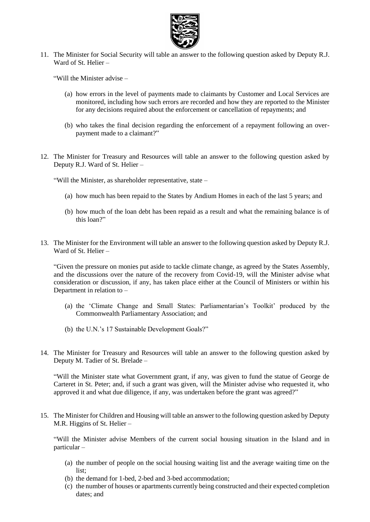

11. The Minister for Social Security will table an answer to the following question asked by Deputy R.J. Ward of St. Helier –

"Will the Minister advise –

- (a) how errors in the level of payments made to claimants by Customer and Local Services are monitored, including how such errors are recorded and how they are reported to the Minister for any decisions required about the enforcement or cancellation of repayments; and
- (b) who takes the final decision regarding the enforcement of a repayment following an overpayment made to a claimant?"
- 12. The Minister for Treasury and Resources will table an answer to the following question asked by Deputy R.J. Ward of St. Helier –

"Will the Minister, as shareholder representative, state –

- (a) how much has been repaid to the States by Andium Homes in each of the last 5 years; and
- (b) how much of the loan debt has been repaid as a result and what the remaining balance is of this loan?"
- 13. The Minister for the Environment will table an answer to the following question asked by Deputy R.J. Ward of St. Helier –

"Given the pressure on monies put aside to tackle climate change, as agreed by the States Assembly, and the discussions over the nature of the recovery from Covid-19, will the Minister advise what consideration or discussion, if any, has taken place either at the Council of Ministers or within his Department in relation to –

- (a) the 'Climate Change and Small States: Parliamentarian's Toolkit' produced by the Commonwealth Parliamentary Association; and
- (b) the U.N.'s 17 Sustainable Development Goals?"
- 14. The Minister for Treasury and Resources will table an answer to the following question asked by Deputy M. Tadier of St. Brelade –

"Will the Minister state what Government grant, if any, was given to fund the statue of George de Carteret in St. Peter; and, if such a grant was given, will the Minister advise who requested it, who approved it and what due diligence, if any, was undertaken before the grant was agreed?"

15. The Minister for Children and Housing will table an answer to the following question asked by Deputy M.R. Higgins of St. Helier –

"Will the Minister advise Members of the current social housing situation in the Island and in particular –

- (a) the number of people on the social housing waiting list and the average waiting time on the list;
- (b) the demand for 1-bed, 2-bed and 3-bed accommodation;
- (c) the number of houses or apartments currently being constructed and their expected completion dates; and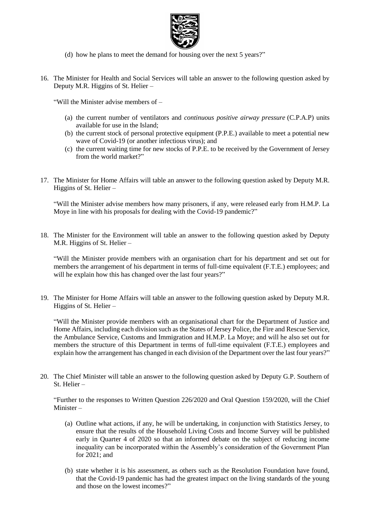

- (d) how he plans to meet the demand for housing over the next 5 years?"
- 16. The Minister for Health and Social Services will table an answer to the following question asked by Deputy M.R. Higgins of St. Helier –

"Will the Minister advise members of –

- (a) the current number of ventilators and *continuous positive airway pressure* (C.P.A.P) units available for use in the Island;
- (b) the current stock of personal protective equipment (P.P.E.) available to meet a potential new wave of Covid-19 (or another infectious virus); and
- (c) the current waiting time for new stocks of P.P.E. to be received by the Government of Jersey from the world market?"
- 17. The Minister for Home Affairs will table an answer to the following question asked by Deputy M.R. Higgins of St. Helier –

"Will the Minister advise members how many prisoners, if any, were released early from H.M.P. La Moye in line with his proposals for dealing with the Covid-19 pandemic?"

18. The Minister for the Environment will table an answer to the following question asked by Deputy M.R. Higgins of St. Helier –

"Will the Minister provide members with an organisation chart for his department and set out for members the arrangement of his department in terms of full-time equivalent (F.T.E.) employees; and will he explain how this has changed over the last four years?"

19. The Minister for Home Affairs will table an answer to the following question asked by Deputy M.R. Higgins of St. Helier –

"Will the Minister provide members with an organisational chart for the Department of Justice and Home Affairs, including each division such as the States of Jersey Police, the Fire and Rescue Service, the Ambulance Service, Customs and Immigration and H.M.P. La Moye; and will he also set out for members the structure of this Department in terms of full-time equivalent (F.T.E.) employees and explain how the arrangement has changed in each division of the Department over the last four years?"

20. The Chief Minister will table an answer to the following question asked by Deputy G.P. Southern of St. Helier –

"Further to the responses to Written Question 226/2020 and Oral Question 159/2020, will the Chief Minister –

- (a) Outline what actions, if any, he will be undertaking, in conjunction with Statistics Jersey, to ensure that the results of the Household Living Costs and Income Survey will be published early in Quarter 4 of 2020 so that an informed debate on the subject of reducing income inequality can be incorporated within the Assembly's consideration of the Government Plan for 2021; and
- (b) state whether it is his assessment, as others such as the Resolution Foundation have found, that the Covid-19 pandemic has had the greatest impact on the living standards of the young and those on the lowest incomes?"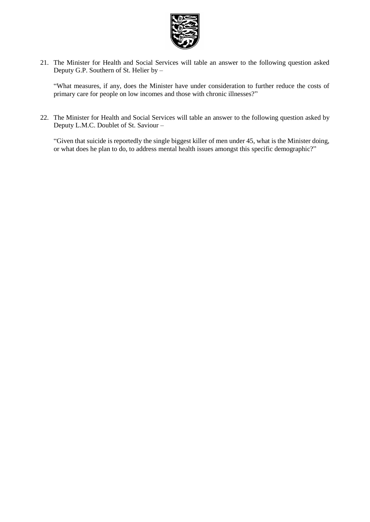

21. The Minister for Health and Social Services will table an answer to the following question asked Deputy G.P. Southern of St. Helier by –

"What measures, if any, does the Minister have under consideration to further reduce the costs of primary care for people on low incomes and those with chronic illnesses?"

22. The Minister for Health and Social Services will table an answer to the following question asked by Deputy L.M.C. Doublet of St. Saviour –

"Given that suicide is reportedly the single biggest killer of men under 45, what is the Minister doing, or what does he plan to do, to address mental health issues amongst this specific demographic?"